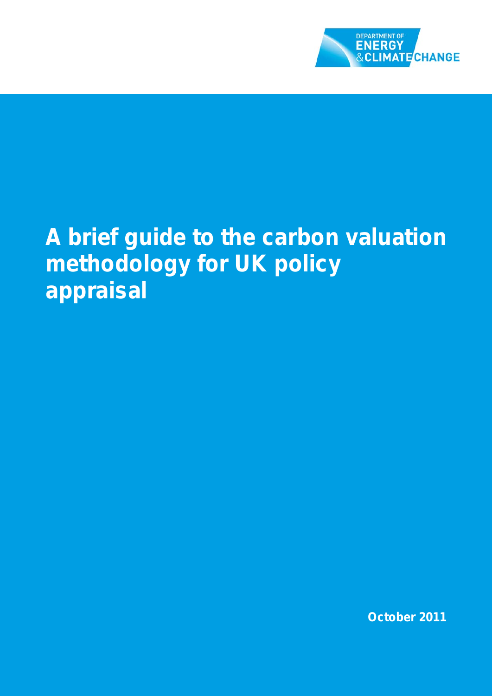

## **A brief guide to the carbon valuation methodology for UK policy appraisal**

**October 2011**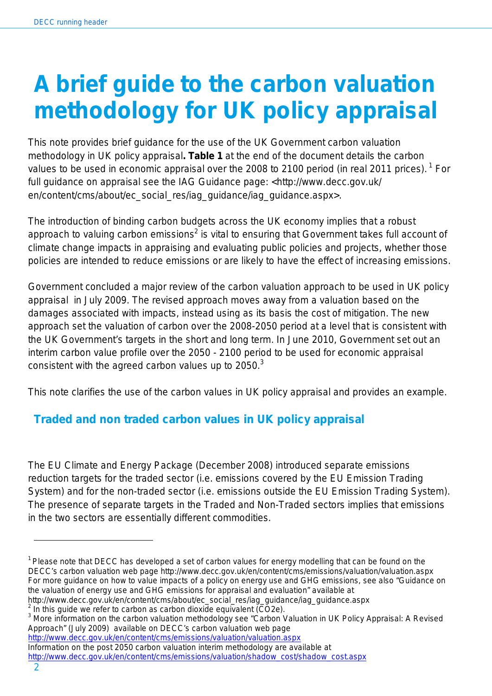# **A brief guide to the carbon valuation methodology for UK policy appraisal**

This note provides brief guidance for the use of the UK Government carbon valuation methodology in UK policy appraisal**. Table 1** at the end of the document details the carbon values to be used in economic appraisal over the 2008 to 2100 period (in real 2011 prices).  $^1$  For full guidance on appraisal see the IAG Guidance page: <http://www.decc.gov.uk/ en/content/cms/about/ec\_social\_res/iag\_quidance/iag\_quidance.aspx>.

The introduction of binding carbon budgets across the UK economy implies that a robust approach to valuing carbon emissions<sup>2</sup> is vital to ensuring that Government takes full account of climate change impacts in appraising and evaluating public policies and projects, whether those policies are intended to reduce emissions or are likely to have the effect of increasing emissions.

Government concluded a major review of the carbon valuation approach to be used in UK policy appraisal in July 2009. The revised approach moves away from a valuation based on the damages associated with impacts, instead using as its basis the cost of mitigation. The new approach set the valuation of carbon over the 2008-2050 period at a level that is consistent with the UK Government's targets in the short and long term. In June 2010, Government set out an interim carbon value profile over the 2050 - 2100 period to be used for economic appraisal consistent with the agreed carbon values up to  $2050$ .<sup>3</sup>

This note clarifies the use of the carbon values in UK policy appraisal and provides an example.

### **Traded and non traded carbon values in UK policy appraisal**

The EU Climate and Energy Package (December 2008) introduced separate emissions reduction targets for the traded sector (i.e. emissions covered by the EU Emission Trading System) and for the non-traded sector (i.e. emissions outside the EU Emission Trading System). The presence of separate targets in the Traded and Non-Traded sectors implies that emissions in the two sectors are essentially different commodities.

http://www.decc.gov.uk/en/content/cms/about/ec\_social\_res/iag\_guidance/iag\_guidance.aspx

 $\overline{a}$ 

 $1$  Please note that DECC has developed a set of carbon values for energy modelling that can be found on the DECC's carbon valuation web page http://www.decc.gov.uk/en/content/cms/emissions/valuation/valuation.aspx For more guidance on how to value impacts of a policy on energy use and GHG emissions, see also "Guidance on the valuation of energy use and GHG emissions for appraisal and evaluation" available at

 $^2$  In this guide we refer to carbon as carbon dioxide equivalent (CO2e).<br><sup>3</sup> More information on the carbon valuation methodology see "Carbon Valuation in UK Policy Appraisal: A Revised Approach" (July 2009) available on DECC's carbon valuation web page

<http://www.decc.gov.uk/en/content/cms/emissions/valuation/valuation.aspx> Information on the post 2050 carbon valuation interim methodology are available at

[http://www.decc.gov.uk/en/content/cms/emissions/valuation/shadow\\_cost/shadow\\_cost.aspx](http://www.decc.gov.uk/en/content/cms/emissions/valuation/shadow_cost/shadow_cost.aspx)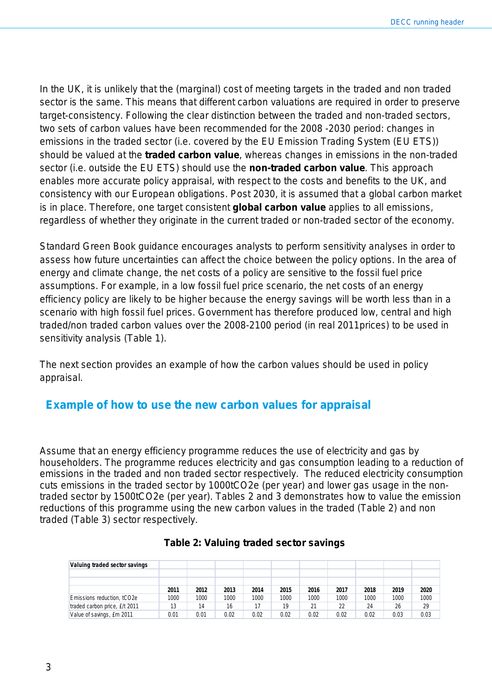In the UK, it is unlikely that the (marginal) cost of meeting targets in the traded and non traded sector is the same. This means that different carbon valuations are required in order to preserve target-consistency. Following the clear distinction between the traded and non-traded sectors, two sets of carbon values have been recommended for the 2008 -2030 period: changes in emissions in the traded sector (i.e. covered by the EU Emission Trading System (EU ETS)) should be valued at the **traded carbon value**, whereas changes in emissions in the non-traded sector (i.e. outside the EU ETS) should use the **non-traded carbon value**. This approach enables more accurate policy appraisal, with respect to the costs and benefits to the UK, and consistency with our European obligations. Post 2030, it is assumed that a global carbon market is in place. Therefore, one target consistent **global carbon value** applies to all emissions, regardless of whether they originate in the current traded or non-traded sector of the economy.

Standard Green Book guidance encourages analysts to perform sensitivity analyses in order to assess how future uncertainties can affect the choice between the policy options. In the area of energy and climate change, the net costs of a policy are sensitive to the fossil fuel price assumptions. For example, in a low fossil fuel price scenario, the net costs of an energy efficiency policy are likely to be higher because the energy savings will be worth less than in a scenario with high fossil fuel prices. Government has therefore produced low, central and high traded/non traded carbon values over the 2008-2100 period (in real 2011prices) to be used in sensitivity analysis (Table 1).

The next section provides an example of how the carbon values should be used in policy appraisal.

#### **Example of how to use the new carbon values for appraisal**

Assume that an energy efficiency programme reduces the use of electricity and gas by householders. The programme reduces electricity and gas consumption leading to a reduction of emissions in the traded and non traded sector respectively. The reduced electricity consumption cuts emissions in the traded sector by 1000tCO2e (per year) and lower gas usage in the nontraded sector by 1500tCO2e (per year). Tables 2 and 3 demonstrates how to value the emission reductions of this programme using the new carbon values in the traded (Table 2) and non traded (Table 3) sector respectively.

| Valuing traded sector savings |      |      |      |      |      |      |      |      |      |      |
|-------------------------------|------|------|------|------|------|------|------|------|------|------|
|                               |      |      |      |      |      |      |      |      |      |      |
|                               |      |      |      |      |      |      |      |      |      |      |
|                               | 2011 | 2012 | 2013 | 2014 | 2015 | 2016 | 2017 | 2018 | 2019 | 2020 |
| Emissions reduction, tCO2e    | 1000 | 1000 | 1000 | 1000 | 1000 | 1000 | 1000 | 1000 | 1000 | 1000 |
| traded carbon price, £/t 2011 | 13   | 14   | 16   | 17   | 19   | 21   | 22   | 24   | 26   | 29   |
| Value of savings, £m 2011     | 0.01 | 0.01 | 0.02 | 0.02 | 0.02 | 0.02 | 0.02 | 0.02 | 0.03 | 0.03 |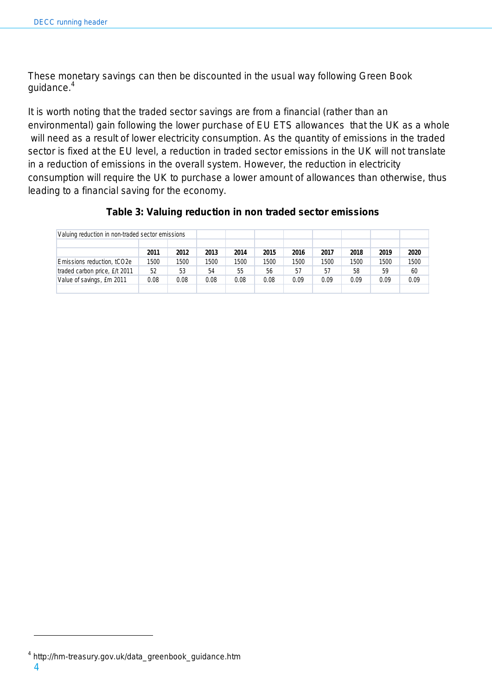These monetary savings can then be discounted in the usual way following Green Book guidance.4

It is worth noting that the traded sector savings are from a financial (rather than an environmental) gain following the lower purchase of EU ETS allowances that the UK as a whole will need as a result of lower electricity consumption. As the quantity of emissions in the traded sector is fixed at the EU level, a reduction in traded sector emissions in the UK will not translate in a reduction of emissions in the overall system. However, the reduction in electricity consumption will require the UK to purchase a lower amount of allowances than otherwise, thus leading to a financial saving for the economy.

|                               | Valuing reduction in non-traded sector emissions |      |      |      |      |      |      |      |      |      |
|-------------------------------|--------------------------------------------------|------|------|------|------|------|------|------|------|------|
|                               |                                                  |      |      |      |      |      |      |      |      |      |
|                               | 2011                                             | 2012 | 2013 | 2014 | 2015 | 2016 | 2017 | 2018 | 2019 | 2020 |
| Emissions reduction, tCO2e    | 1500                                             | 1500 | 1500 | 1500 | 1500 | 1500 | 1500 | 1500 | 1500 | 1500 |
| traded carbon price, £/t 2011 | 52                                               | 53   | 54   | 55   | 56   | 57   | 57   | 58   | 59   | 60   |
| Value of savings, £m 2011     | 0.08                                             | 0.08 | 0.08 | 0.08 | 0.08 | 0.09 | 0.09 | 0.09 | 0.09 | 0.09 |
|                               |                                                  |      |      |      |      |      |      |      |      |      |

#### **Table 3: Valuing reduction in non traded sector emissions**

4

 $\overline{a}$ 

<sup>4</sup> http://hm-treasury.gov.uk/data\_greenbook\_guidance.htm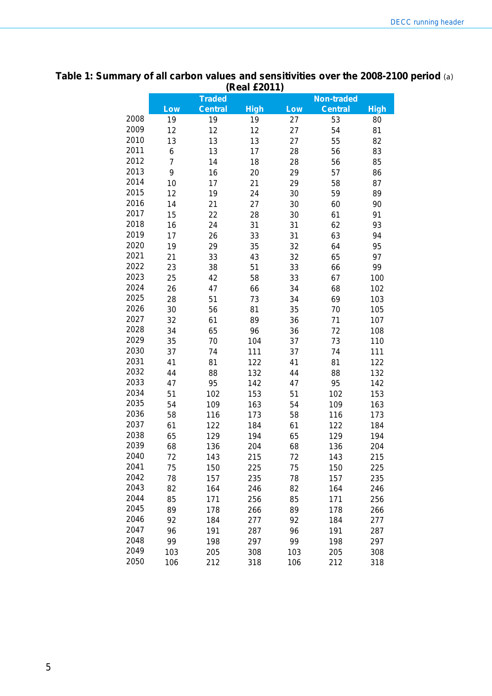#### **(Real £2011) Traded Non-traded Low Central High Low Central High** 19 19 19 27 53 80 12 12 12 27 54 81 13 13 13 27 55 82 6 13 17 28 56 83 7 14 18 28 56 85 9 16 20 29 57 86 10 17 21 29 58 87 12 19 24 30 59 89 14 21 27 30 60 90 15 22 28 30 61 91 16 24 31 31 62 93 17 26 33 31 63 94 19 29 35 32 64 95 21 33 43 32 65 97 23 38 51 33 66 99 25 42 58 33 67 100 26 47 66 34 68 102 28 51 73 34 69 103 30 56 81 35 70 105 32 61 89 36 71 107 34 65 96 36 72 108 35 70 104 37 73 110 37 74 111 37 74 111 41 81 122 41 81 122 44 88 132 44 88 132 47 95 142 47 95 142 51 102 153 51 102 153 54 109 163 54 109 163 58 116 173 58 116 173 61 122 184 61 122 184 65 129 194 65 129 194 68 136 204 68 136 204 72 143 215 72 143 215 75 150 225 75 150 225 78 157 235 78 157 235 82 164 246 82 164 246 85 171 256 85 171 256 89 178 266 89 178 266 92 184 277 92 184 277 96 191 287 96 191 287 99 198 297 99 198 297 103 205 308 103 205 308

106 212 318 106 212 318

### **Table 1: Summary of all carbon values and sensitivities over the 2008-2100 period** (a)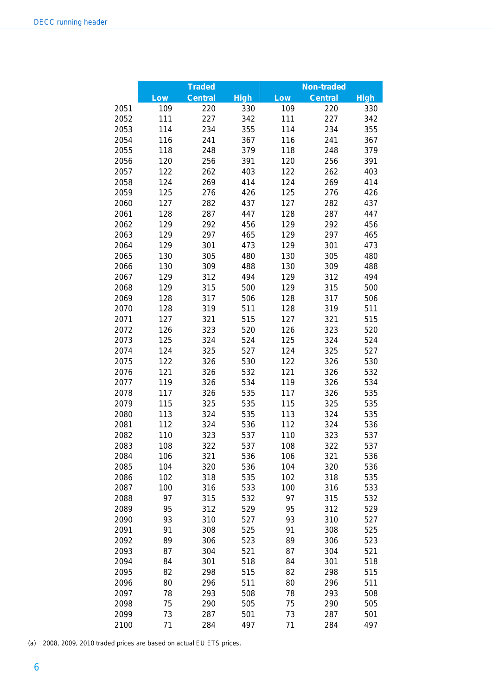|      |     | <b>Traded</b>  |             |     |                                     |             |
|------|-----|----------------|-------------|-----|-------------------------------------|-------------|
|      | Low | <b>Central</b> | <b>High</b> | Low | <b>Non-traded</b><br><b>Central</b> | <b>High</b> |
| 2051 | 109 | 220            | 330         | 109 | 220                                 | 330         |
| 2052 | 111 | 227            | 342         | 111 | 227                                 | 342         |
| 2053 | 114 | 234            | 355         | 114 | 234                                 | 355         |
| 2054 | 116 | 241            | 367         | 116 | 241                                 | 367         |
| 2055 | 118 | 248            | 379         | 118 | 248                                 | 379         |
| 2056 | 120 | 256            | 391         | 120 | 256                                 | 391         |
| 2057 | 122 | 262            | 403         | 122 | 262                                 | 403         |
| 2058 | 124 | 269            | 414         | 124 | 269                                 | 414         |
| 2059 | 125 | 276            | 426         | 125 | 276                                 | 426         |
| 2060 | 127 | 282            | 437         | 127 | 282                                 | 437         |
| 2061 | 128 | 287            | 447         | 128 | 287                                 | 447         |
| 2062 | 129 | 292            | 456         | 129 | 292                                 | 456         |
| 2063 | 129 | 297            | 465         | 129 | 297                                 | 465         |
| 2064 | 129 | 301            | 473         | 129 | 301                                 | 473         |
| 2065 | 130 | 305            | 480         | 130 | 305                                 | 480         |
| 2066 | 130 | 309            | 488         | 130 | 309                                 | 488         |
| 2067 | 129 | 312            | 494         | 129 | 312                                 | 494         |
| 2068 | 129 | 315            | 500         | 129 | 315                                 | 500         |
| 2069 | 128 | 317            | 506         | 128 | 317                                 | 506         |
| 2070 | 128 | 319            | 511         | 128 | 319                                 | 511         |
| 2071 | 127 | 321            | 515         | 127 | 321                                 | 515         |
| 2072 | 126 | 323            | 520         | 126 | 323                                 | 520         |
| 2073 | 125 | 324            | 524         | 125 | 324                                 | 524         |
| 2074 | 124 | 325            | 527         | 124 | 325                                 | 527         |
| 2075 | 122 | 326            | 530         | 122 | 326                                 | 530         |
| 2076 | 121 | 326            | 532         | 121 | 326                                 | 532         |
| 2077 | 119 | 326            | 534         | 119 | 326                                 | 534         |
| 2078 | 117 | 326            | 535         | 117 | 326                                 | 535         |
| 2079 | 115 | 325            | 535         | 115 | 325                                 | 535         |
| 2080 | 113 | 324            | 535         | 113 | 324                                 | 535         |
| 2081 | 112 | 324            | 536         | 112 | 324                                 | 536         |
| 2082 | 110 | 323            | 537         | 110 | 323                                 | 537         |
| 2083 | 108 | 322            | 537         | 108 | 322                                 | 537         |
| 2084 | 106 | 321            | 536         | 106 | 321                                 | 536         |
| 2085 | 104 | 320            | 536         | 104 | 320                                 | 536         |
| 2086 | 102 | 318            | 535         | 102 | 318                                 | 535         |
| 2087 | 100 | 316            | 533         | 100 | 316                                 | 533         |
| 2088 | 97  | 315            | 532         | 97  | 315                                 | 532         |
| 2089 | 95  | 312            | 529         | 95  | 312                                 | 529         |
| 2090 | 93  | 310            | 527         | 93  | 310                                 | 527         |
| 2091 | 91  | 308            | 525         | 91  | 308                                 | 525         |
| 2092 | 89  | 306            | 523         | 89  | 306                                 | 523         |
| 2093 | 87  | 304            | 521         | 87  | 304                                 | 521         |
| 2094 | 84  | 301            | 518         | 84  | 301                                 | 518         |
| 2095 | 82  | 298            | 515         | 82  | 298                                 | 515         |
| 2096 | 80  | 296            | 511         | 80  | 296                                 | 511         |
| 2097 | 78  | 293            | 508         | 78  | 293                                 | 508         |
| 2098 | 75  | 290            | 505         | 75  | 290                                 | 505         |
| 2099 | 73  | 287            | 501         | 73  | 287                                 | 501         |
| 2100 | 71  | 284            | 497         | 71  | 284                                 | 497         |

(a) 2008, 2009, 2010 traded prices are based on actual EU ETS prices.